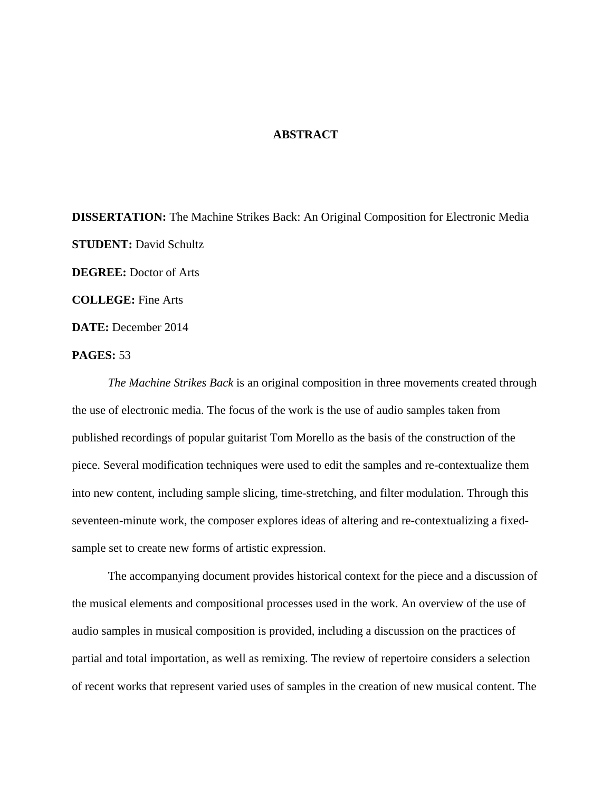## **ABSTRACT**

**DISSERTATION:** The Machine Strikes Back: An Original Composition for Electronic Media **STUDENT:** David Schultz **DEGREE:** Doctor of Arts **COLLEGE:** Fine Arts **DATE:** December 2014

## **PAGES:** 53

*The Machine Strikes Back* is an original composition in three movements created through the use of electronic media. The focus of the work is the use of audio samples taken from published recordings of popular guitarist Tom Morello as the basis of the construction of the piece. Several modification techniques were used to edit the samples and re-contextualize them into new content, including sample slicing, time-stretching, and filter modulation. Through this seventeen-minute work, the composer explores ideas of altering and re-contextualizing a fixedsample set to create new forms of artistic expression.

 The accompanying document provides historical context for the piece and a discussion of the musical elements and compositional processes used in the work. An overview of the use of audio samples in musical composition is provided, including a discussion on the practices of partial and total importation, as well as remixing. The review of repertoire considers a selection of recent works that represent varied uses of samples in the creation of new musical content. The